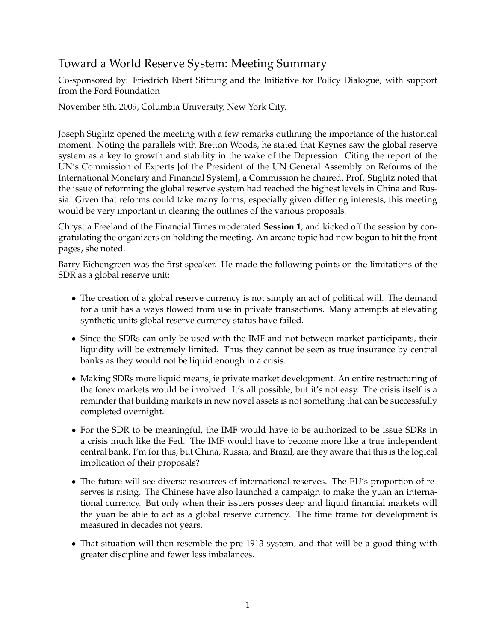## Toward a World Reserve System: Meeting Summary

Co-sponsored by: Friedrich Ebert Stiftung and the Initiative for Policy Dialogue, with support from the Ford Foundation

November 6th, 2009, Columbia University, New York City.

Joseph Stiglitz opened the meeting with a few remarks outlining the importance of the historical moment. Noting the parallels with Bretton Woods, he stated that Keynes saw the global reserve system as a key to growth and stability in the wake of the Depression. Citing the report of the UN's Commission of Experts [of the President of the UN General Assembly on Reforms of the International Monetary and Financial System], a Commission he chaired, Prof. Stiglitz noted that the issue of reforming the global reserve system had reached the highest levels in China and Russia. Given that reforms could take many forms, especially given differing interests, this meeting would be very important in clearing the outlines of the various proposals.

Chrystia Freeland of the Financial Times moderated **Session 1**, and kicked off the session by congratulating the organizers on holding the meeting. An arcane topic had now begun to hit the front pages, she noted.

Barry Eichengreen was the first speaker. He made the following points on the limitations of the SDR as a global reserve unit:

- The creation of a global reserve currency is not simply an act of political will. The demand for a unit has always flowed from use in private transactions. Many attempts at elevating synthetic units global reserve currency status have failed.
- Since the SDRs can only be used with the IMF and not between market participants, their liquidity will be extremely limited. Thus they cannot be seen as true insurance by central banks as they would not be liquid enough in a crisis.
- Making SDRs more liquid means, ie private market development. An entire restructuring of the forex markets would be involved. It's all possible, but it's not easy. The crisis itself is a reminder that building markets in new novel assets is not something that can be successfully completed overnight.
- For the SDR to be meaningful, the IMF would have to be authorized to be issue SDRs in a crisis much like the Fed. The IMF would have to become more like a true independent central bank. I'm for this, but China, Russia, and Brazil, are they aware that this is the logical implication of their proposals?
- The future will see diverse resources of international reserves. The EU's proportion of reserves is rising. The Chinese have also launched a campaign to make the yuan an international currency. But only when their issuers posses deep and liquid financial markets will the yuan be able to act as a global reserve currency. The time frame for development is measured in decades not years.
- That situation will then resemble the pre-1913 system, and that will be a good thing with greater discipline and fewer less imbalances.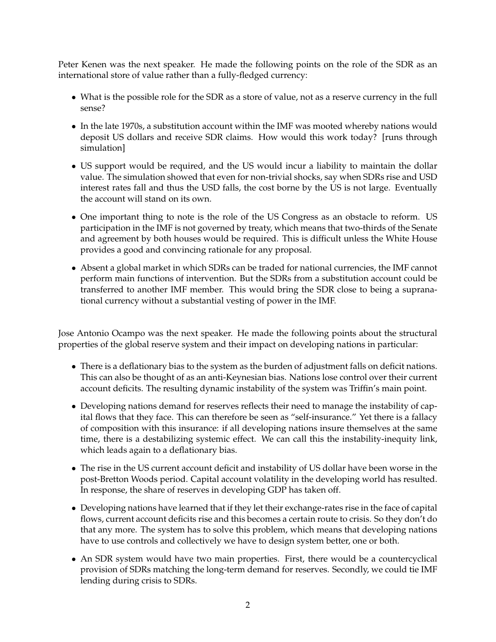Peter Kenen was the next speaker. He made the following points on the role of the SDR as an international store of value rather than a fully-fledged currency:

- What is the possible role for the SDR as a store of value, not as a reserve currency in the full sense?
- In the late 1970s, a substitution account within the IMF was mooted whereby nations would deposit US dollars and receive SDR claims. How would this work today? [runs through simulation]
- US support would be required, and the US would incur a liability to maintain the dollar value. The simulation showed that even for non-trivial shocks, say when SDRs rise and USD interest rates fall and thus the USD falls, the cost borne by the US is not large. Eventually the account will stand on its own.
- One important thing to note is the role of the US Congress as an obstacle to reform. US participation in the IMF is not governed by treaty, which means that two-thirds of the Senate and agreement by both houses would be required. This is difficult unless the White House provides a good and convincing rationale for any proposal.
- Absent a global market in which SDRs can be traded for national currencies, the IMF cannot perform main functions of intervention. But the SDRs from a substitution account could be transferred to another IMF member. This would bring the SDR close to being a supranational currency without a substantial vesting of power in the IMF.

Jose Antonio Ocampo was the next speaker. He made the following points about the structural properties of the global reserve system and their impact on developing nations in particular:

- There is a deflationary bias to the system as the burden of adjustment falls on deficit nations. This can also be thought of as an anti-Keynesian bias. Nations lose control over their current account deficits. The resulting dynamic instability of the system was Triffin's main point.
- Developing nations demand for reserves reflects their need to manage the instability of capital flows that they face. This can therefore be seen as "self-insurance." Yet there is a fallacy of composition with this insurance: if all developing nations insure themselves at the same time, there is a destabilizing systemic effect. We can call this the instability-inequity link, which leads again to a deflationary bias.
- The rise in the US current account deficit and instability of US dollar have been worse in the post-Bretton Woods period. Capital account volatility in the developing world has resulted. In response, the share of reserves in developing GDP has taken off.
- Developing nations have learned that if they let their exchange-rates rise in the face of capital flows, current account deficits rise and this becomes a certain route to crisis. So they don't do that any more. The system has to solve this problem, which means that developing nations have to use controls and collectively we have to design system better, one or both.
- An SDR system would have two main properties. First, there would be a countercyclical provision of SDRs matching the long-term demand for reserves. Secondly, we could tie IMF lending during crisis to SDRs.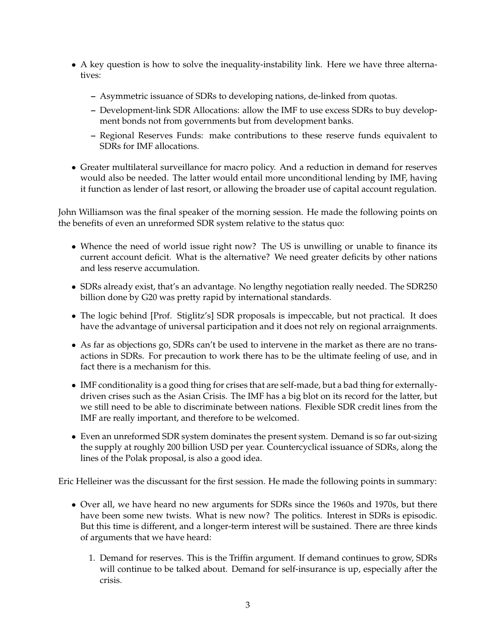- A key question is how to solve the inequality-instability link. Here we have three alternatives:
	- **–** Asymmetric issuance of SDRs to developing nations, de-linked from quotas.
	- **–** Development-link SDR Allocations: allow the IMF to use excess SDRs to buy development bonds not from governments but from development banks.
	- **–** Regional Reserves Funds: make contributions to these reserve funds equivalent to SDRs for IMF allocations.
- Greater multilateral surveillance for macro policy. And a reduction in demand for reserves would also be needed. The latter would entail more unconditional lending by IMF, having it function as lender of last resort, or allowing the broader use of capital account regulation.

John Williamson was the final speaker of the morning session. He made the following points on the benefits of even an unreformed SDR system relative to the status quo:

- Whence the need of world issue right now? The US is unwilling or unable to finance its current account deficit. What is the alternative? We need greater deficits by other nations and less reserve accumulation.
- SDRs already exist, that's an advantage. No lengthy negotiation really needed. The SDR250 billion done by G20 was pretty rapid by international standards.
- The logic behind [Prof. Stiglitz's] SDR proposals is impeccable, but not practical. It does have the advantage of universal participation and it does not rely on regional arraignments.
- As far as objections go, SDRs can't be used to intervene in the market as there are no transactions in SDRs. For precaution to work there has to be the ultimate feeling of use, and in fact there is a mechanism for this.
- IMF conditionality is a good thing for crises that are self-made, but a bad thing for externallydriven crises such as the Asian Crisis. The IMF has a big blot on its record for the latter, but we still need to be able to discriminate between nations. Flexible SDR credit lines from the IMF are really important, and therefore to be welcomed.
- Even an unreformed SDR system dominates the present system. Demand is so far out-sizing the supply at roughly 200 billion USD per year. Countercyclical issuance of SDRs, along the lines of the Polak proposal, is also a good idea.

Eric Helleiner was the discussant for the first session. He made the following points in summary:

- Over all, we have heard no new arguments for SDRs since the 1960s and 1970s, but there have been some new twists. What is new now? The politics. Interest in SDRs is episodic. But this time is different, and a longer-term interest will be sustained. There are three kinds of arguments that we have heard:
	- 1. Demand for reserves. This is the Triffin argument. If demand continues to grow, SDRs will continue to be talked about. Demand for self-insurance is up, especially after the crisis.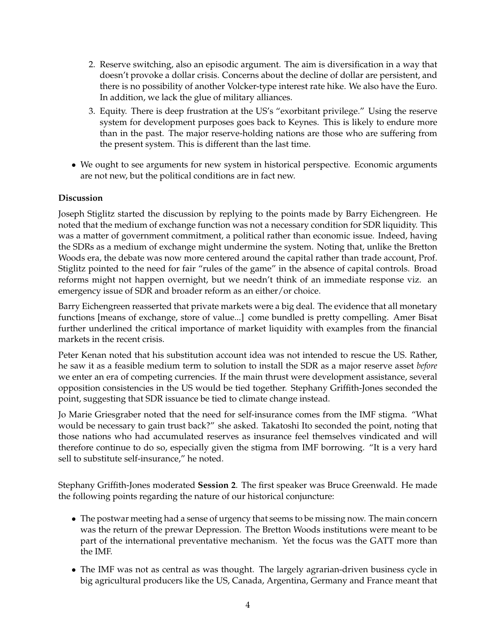- 2. Reserve switching, also an episodic argument. The aim is diversification in a way that doesn't provoke a dollar crisis. Concerns about the decline of dollar are persistent, and there is no possibility of another Volcker-type interest rate hike. We also have the Euro. In addition, we lack the glue of military alliances.
- 3. Equity. There is deep frustration at the US's "exorbitant privilege." Using the reserve system for development purposes goes back to Keynes. This is likely to endure more than in the past. The major reserve-holding nations are those who are suffering from the present system. This is different than the last time.
- We ought to see arguments for new system in historical perspective. Economic arguments are not new, but the political conditions are in fact new.

## **Discussion**

Joseph Stiglitz started the discussion by replying to the points made by Barry Eichengreen. He noted that the medium of exchange function was not a necessary condition for SDR liquidity. This was a matter of government commitment, a political rather than economic issue. Indeed, having the SDRs as a medium of exchange might undermine the system. Noting that, unlike the Bretton Woods era, the debate was now more centered around the capital rather than trade account, Prof. Stiglitz pointed to the need for fair "rules of the game" in the absence of capital controls. Broad reforms might not happen overnight, but we needn't think of an immediate response viz. an emergency issue of SDR and broader reform as an either/or choice.

Barry Eichengreen reasserted that private markets were a big deal. The evidence that all monetary functions [means of exchange, store of value...] come bundled is pretty compelling. Amer Bisat further underlined the critical importance of market liquidity with examples from the financial markets in the recent crisis.

Peter Kenan noted that his substitution account idea was not intended to rescue the US. Rather, he saw it as a feasible medium term to solution to install the SDR as a major reserve asset *before* we enter an era of competing currencies. If the main thrust were development assistance, several opposition consistencies in the US would be tied together. Stephany Griffith-Jones seconded the point, suggesting that SDR issuance be tied to climate change instead.

Jo Marie Griesgraber noted that the need for self-insurance comes from the IMF stigma. "What would be necessary to gain trust back?" she asked. Takatoshi Ito seconded the point, noting that those nations who had accumulated reserves as insurance feel themselves vindicated and will therefore continue to do so, especially given the stigma from IMF borrowing. "It is a very hard sell to substitute self-insurance," he noted.

Stephany Griffith-Jones moderated **Session 2**. The first speaker was Bruce Greenwald. He made the following points regarding the nature of our historical conjuncture:

- The postwar meeting had a sense of urgency that seems to be missing now. The main concern was the return of the prewar Depression. The Bretton Woods institutions were meant to be part of the international preventative mechanism. Yet the focus was the GATT more than the IMF.
- The IMF was not as central as was thought. The largely agrarian-driven business cycle in big agricultural producers like the US, Canada, Argentina, Germany and France meant that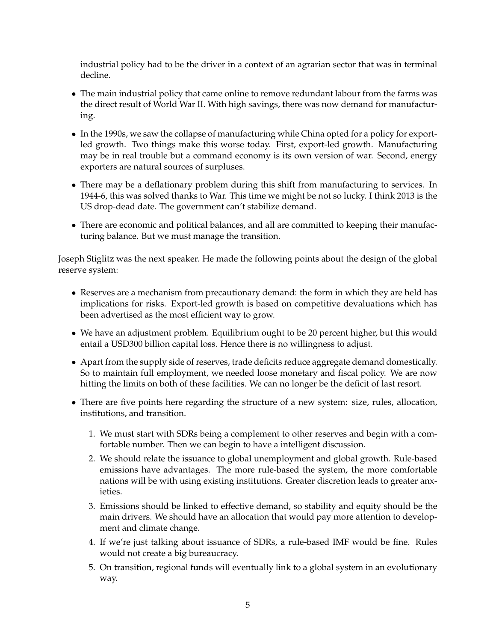industrial policy had to be the driver in a context of an agrarian sector that was in terminal decline.

- The main industrial policy that came online to remove redundant labour from the farms was the direct result of World War II. With high savings, there was now demand for manufacturing.
- In the 1990s, we saw the collapse of manufacturing while China opted for a policy for exportled growth. Two things make this worse today. First, export-led growth. Manufacturing may be in real trouble but a command economy is its own version of war. Second, energy exporters are natural sources of surpluses.
- There may be a deflationary problem during this shift from manufacturing to services. In 1944-6, this was solved thanks to War. This time we might be not so lucky. I think 2013 is the US drop-dead date. The government can't stabilize demand.
- There are economic and political balances, and all are committed to keeping their manufacturing balance. But we must manage the transition.

Joseph Stiglitz was the next speaker. He made the following points about the design of the global reserve system:

- Reserves are a mechanism from precautionary demand: the form in which they are held has implications for risks. Export-led growth is based on competitive devaluations which has been advertised as the most efficient way to grow.
- We have an adjustment problem. Equilibrium ought to be 20 percent higher, but this would entail a USD300 billion capital loss. Hence there is no willingness to adjust.
- Apart from the supply side of reserves, trade deficits reduce aggregate demand domestically. So to maintain full employment, we needed loose monetary and fiscal policy. We are now hitting the limits on both of these facilities. We can no longer be the deficit of last resort.
- There are five points here regarding the structure of a new system: size, rules, allocation, institutions, and transition.
	- 1. We must start with SDRs being a complement to other reserves and begin with a comfortable number. Then we can begin to have a intelligent discussion.
	- 2. We should relate the issuance to global unemployment and global growth. Rule-based emissions have advantages. The more rule-based the system, the more comfortable nations will be with using existing institutions. Greater discretion leads to greater anxieties.
	- 3. Emissions should be linked to effective demand, so stability and equity should be the main drivers. We should have an allocation that would pay more attention to development and climate change.
	- 4. If we're just talking about issuance of SDRs, a rule-based IMF would be fine. Rules would not create a big bureaucracy.
	- 5. On transition, regional funds will eventually link to a global system in an evolutionary way.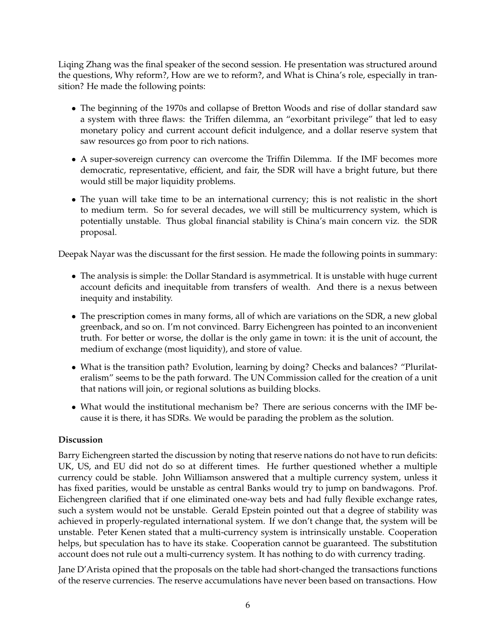Liqing Zhang was the final speaker of the second session. He presentation was structured around the questions, Why reform?, How are we to reform?, and What is China's role, especially in transition? He made the following points:

- The beginning of the 1970s and collapse of Bretton Woods and rise of dollar standard saw a system with three flaws: the Triffen dilemma, an "exorbitant privilege" that led to easy monetary policy and current account deficit indulgence, and a dollar reserve system that saw resources go from poor to rich nations.
- A super-sovereign currency can overcome the Triffin Dilemma. If the IMF becomes more democratic, representative, efficient, and fair, the SDR will have a bright future, but there would still be major liquidity problems.
- The yuan will take time to be an international currency; this is not realistic in the short to medium term. So for several decades, we will still be multicurrency system, which is potentially unstable. Thus global financial stability is China's main concern viz. the SDR proposal.

Deepak Nayar was the discussant for the first session. He made the following points in summary:

- The analysis is simple: the Dollar Standard is asymmetrical. It is unstable with huge current account deficits and inequitable from transfers of wealth. And there is a nexus between inequity and instability.
- The prescription comes in many forms, all of which are variations on the SDR, a new global greenback, and so on. I'm not convinced. Barry Eichengreen has pointed to an inconvenient truth. For better or worse, the dollar is the only game in town: it is the unit of account, the medium of exchange (most liquidity), and store of value.
- What is the transition path? Evolution, learning by doing? Checks and balances? "Plurilateralism" seems to be the path forward. The UN Commission called for the creation of a unit that nations will join, or regional solutions as building blocks.
- What would the institutional mechanism be? There are serious concerns with the IMF because it is there, it has SDRs. We would be parading the problem as the solution.

## **Discussion**

Barry Eichengreen started the discussion by noting that reserve nations do not have to run deficits: UK, US, and EU did not do so at different times. He further questioned whether a multiple currency could be stable. John Williamson answered that a multiple currency system, unless it has fixed parities, would be unstable as central Banks would try to jump on bandwagons. Prof. Eichengreen clarified that if one eliminated one-way bets and had fully flexible exchange rates, such a system would not be unstable. Gerald Epstein pointed out that a degree of stability was achieved in properly-regulated international system. If we don't change that, the system will be unstable. Peter Kenen stated that a multi-currency system is intrinsically unstable. Cooperation helps, but speculation has to have its stake. Cooperation cannot be guaranteed. The substitution account does not rule out a multi-currency system. It has nothing to do with currency trading.

Jane D'Arista opined that the proposals on the table had short-changed the transactions functions of the reserve currencies. The reserve accumulations have never been based on transactions. How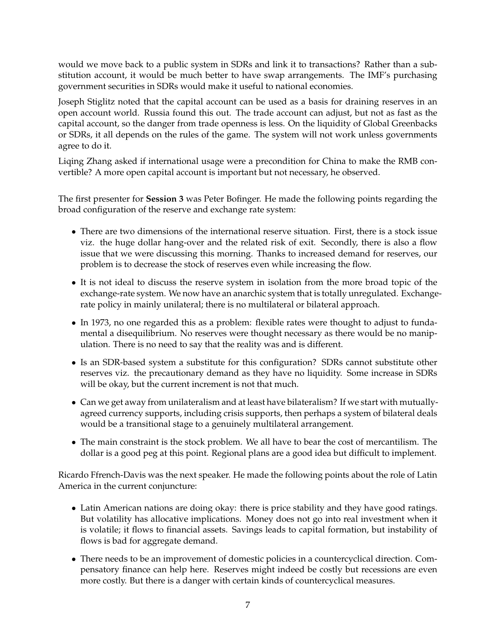would we move back to a public system in SDRs and link it to transactions? Rather than a substitution account, it would be much better to have swap arrangements. The IMF's purchasing government securities in SDRs would make it useful to national economies.

Joseph Stiglitz noted that the capital account can be used as a basis for draining reserves in an open account world. Russia found this out. The trade account can adjust, but not as fast as the capital account, so the danger from trade openness is less. On the liquidity of Global Greenbacks or SDRs, it all depends on the rules of the game. The system will not work unless governments agree to do it.

Liqing Zhang asked if international usage were a precondition for China to make the RMB convertible? A more open capital account is important but not necessary, he observed.

The first presenter for **Session 3** was Peter Bofinger. He made the following points regarding the broad configuration of the reserve and exchange rate system:

- There are two dimensions of the international reserve situation. First, there is a stock issue viz. the huge dollar hang-over and the related risk of exit. Secondly, there is also a flow issue that we were discussing this morning. Thanks to increased demand for reserves, our problem is to decrease the stock of reserves even while increasing the flow.
- It is not ideal to discuss the reserve system in isolation from the more broad topic of the exchange-rate system. We now have an anarchic system that is totally unregulated. Exchangerate policy in mainly unilateral; there is no multilateral or bilateral approach.
- In 1973, no one regarded this as a problem: flexible rates were thought to adjust to fundamental a disequilibrium. No reserves were thought necessary as there would be no manipulation. There is no need to say that the reality was and is different.
- Is an SDR-based system a substitute for this configuration? SDRs cannot substitute other reserves viz. the precautionary demand as they have no liquidity. Some increase in SDRs will be okay, but the current increment is not that much.
- Can we get away from unilateralism and at least have bilateralism? If we start with mutuallyagreed currency supports, including crisis supports, then perhaps a system of bilateral deals would be a transitional stage to a genuinely multilateral arrangement.
- The main constraint is the stock problem. We all have to bear the cost of mercantilism. The dollar is a good peg at this point. Regional plans are a good idea but difficult to implement.

Ricardo Ffrench-Davis was the next speaker. He made the following points about the role of Latin America in the current conjuncture:

- Latin American nations are doing okay: there is price stability and they have good ratings. But volatility has allocative implications. Money does not go into real investment when it is volatile; it flows to financial assets. Savings leads to capital formation, but instability of flows is bad for aggregate demand.
- There needs to be an improvement of domestic policies in a countercyclical direction. Compensatory finance can help here. Reserves might indeed be costly but recessions are even more costly. But there is a danger with certain kinds of countercyclical measures.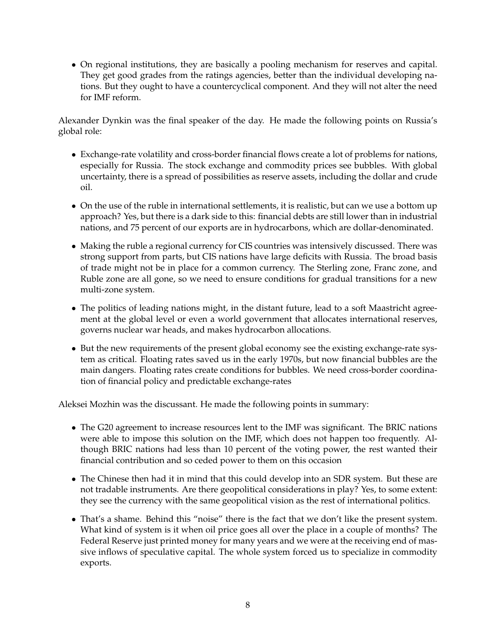• On regional institutions, they are basically a pooling mechanism for reserves and capital. They get good grades from the ratings agencies, better than the individual developing nations. But they ought to have a countercyclical component. And they will not alter the need for IMF reform.

Alexander Dynkin was the final speaker of the day. He made the following points on Russia's global role:

- Exchange-rate volatility and cross-border financial flows create a lot of problems for nations, especially for Russia. The stock exchange and commodity prices see bubbles. With global uncertainty, there is a spread of possibilities as reserve assets, including the dollar and crude oil.
- On the use of the ruble in international settlements, it is realistic, but can we use a bottom up approach? Yes, but there is a dark side to this: financial debts are still lower than in industrial nations, and 75 percent of our exports are in hydrocarbons, which are dollar-denominated.
- Making the ruble a regional currency for CIS countries was intensively discussed. There was strong support from parts, but CIS nations have large deficits with Russia. The broad basis of trade might not be in place for a common currency. The Sterling zone, Franc zone, and Ruble zone are all gone, so we need to ensure conditions for gradual transitions for a new multi-zone system.
- The politics of leading nations might, in the distant future, lead to a soft Maastricht agreement at the global level or even a world government that allocates international reserves, governs nuclear war heads, and makes hydrocarbon allocations.
- But the new requirements of the present global economy see the existing exchange-rate system as critical. Floating rates saved us in the early 1970s, but now financial bubbles are the main dangers. Floating rates create conditions for bubbles. We need cross-border coordination of financial policy and predictable exchange-rates

Aleksei Mozhin was the discussant. He made the following points in summary:

- The G20 agreement to increase resources lent to the IMF was significant. The BRIC nations were able to impose this solution on the IMF, which does not happen too frequently. Although BRIC nations had less than 10 percent of the voting power, the rest wanted their financial contribution and so ceded power to them on this occasion
- The Chinese then had it in mind that this could develop into an SDR system. But these are not tradable instruments. Are there geopolitical considerations in play? Yes, to some extent: they see the currency with the same geopolitical vision as the rest of international politics.
- That's a shame. Behind this "noise" there is the fact that we don't like the present system. What kind of system is it when oil price goes all over the place in a couple of months? The Federal Reserve just printed money for many years and we were at the receiving end of massive inflows of speculative capital. The whole system forced us to specialize in commodity exports.